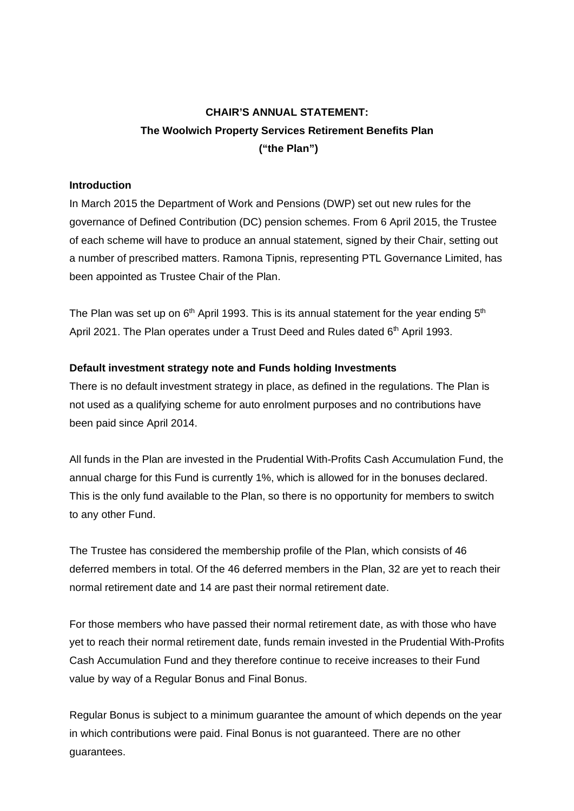# **CHAIR'S ANNUAL STATEMENT: The Woolwich Property Services Retirement Benefits Plan ("the Plan")**

## **Introduction**

In March 2015 the Department of Work and Pensions (DWP) set out new rules for the governance of Defined Contribution (DC) pension schemes. From 6 April 2015, the Trustee of each scheme will have to produce an annual statement, signed by their Chair, setting out a number of prescribed matters. Ramona Tipnis, representing PTL Governance Limited, has been appointed as Trustee Chair of the Plan.

The Plan was set up on  $6<sup>th</sup>$  April 1993. This is its annual statement for the year ending  $5<sup>th</sup>$ April 2021. The Plan operates under a Trust Deed and Rules dated 6<sup>th</sup> April 1993.

## **Default investment strategy note and Funds holding Investments**

There is no default investment strategy in place, as defined in the regulations. The Plan is not used as a qualifying scheme for auto enrolment purposes and no contributions have been paid since April 2014.

All funds in the Plan are invested in the Prudential With-Profits Cash Accumulation Fund, the annual charge for this Fund is currently 1%, which is allowed for in the bonuses declared. This is the only fund available to the Plan, so there is no opportunity for members to switch to any other Fund.

The Trustee has considered the membership profile of the Plan, which consists of 46 deferred members in total. Of the 46 deferred members in the Plan, 32 are yet to reach their normal retirement date and 14 are past their normal retirement date.

For those members who have passed their normal retirement date, as with those who have yet to reach their normal retirement date, funds remain invested in the Prudential With-Profits Cash Accumulation Fund and they therefore continue to receive increases to their Fund value by way of a Regular Bonus and Final Bonus.

Regular Bonus is subject to a minimum guarantee the amount of which depends on the year in which contributions were paid. Final Bonus is not guaranteed. There are no other guarantees.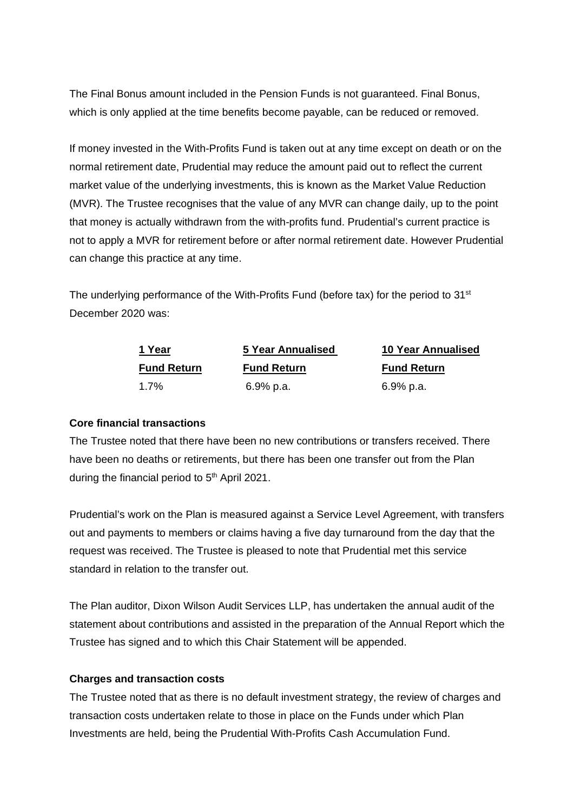The Final Bonus amount included in the Pension Funds is not guaranteed. Final Bonus, which is only applied at the time benefits become payable, can be reduced or removed.

If money invested in the With-Profits Fund is taken out at any time except on death or on the normal retirement date, Prudential may reduce the amount paid out to reflect the current market value of the underlying investments, this is known as the Market Value Reduction (MVR). The Trustee recognises that the value of any MVR can change daily, up to the point that money is actually withdrawn from the with-profits fund. Prudential's current practice is not to apply a MVR for retirement before or after normal retirement date. However Prudential can change this practice at any time.

The underlying performance of the With-Profits Fund (before tax) for the period to 31<sup>st</sup> December 2020 was:

| 1 Year             | 5 Year Annualised  | <b>10 Year Annualised</b> |
|--------------------|--------------------|---------------------------|
| <b>Fund Return</b> | <b>Fund Return</b> | <b>Fund Return</b>        |
| 1.7%               | 6.9% p.a.          | 6.9% p.a.                 |

## **Core financial transactions**

The Trustee noted that there have been no new contributions or transfers received. There have been no deaths or retirements, but there has been one transfer out from the Plan during the financial period to 5<sup>th</sup> April 2021.

Prudential's work on the Plan is measured against a Service Level Agreement, with transfers out and payments to members or claims having a five day turnaround from the day that the request was received. The Trustee is pleased to note that Prudential met this service standard in relation to the transfer out.

The Plan auditor, Dixon Wilson Audit Services LLP, has undertaken the annual audit of the statement about contributions and assisted in the preparation of the Annual Report which the Trustee has signed and to which this Chair Statement will be appended.

#### **Charges and transaction costs**

The Trustee noted that as there is no default investment strategy, the review of charges and transaction costs undertaken relate to those in place on the Funds under which Plan Investments are held, being the Prudential With-Profits Cash Accumulation Fund.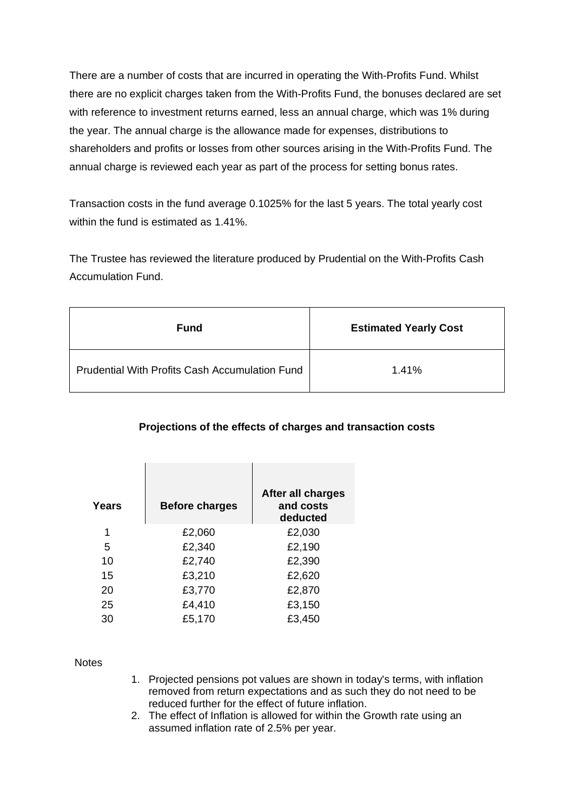There are a number of costs that are incurred in operating the With-Profits Fund. Whilst there are no explicit charges taken from the With-Profits Fund, the bonuses declared are set with reference to investment returns earned, less an annual charge, which was 1% during the year. The annual charge is the allowance made for expenses, distributions to shareholders and profits or losses from other sources arising in the With-Profits Fund. The annual charge is reviewed each year as part of the process for setting bonus rates.

Transaction costs in the fund average 0.1025% for the last 5 years. The total yearly cost within the fund is estimated as 1.41%.

The Trustee has reviewed the literature produced by Prudential on the With-Profits Cash Accumulation Fund.

| Fund                                                  | <b>Estimated Yearly Cost</b> |
|-------------------------------------------------------|------------------------------|
| <b>Prudential With Profits Cash Accumulation Fund</b> | 1.41%                        |

# **Projections of the effects of charges and transaction costs**

| <b>Before charges</b> | After all charges<br>and costs<br>deducted |
|-----------------------|--------------------------------------------|
| £2,060                | £2,030                                     |
| £2,340                | £2,190                                     |
| £2,740                | £2,390                                     |
| £3,210                | £2,620                                     |
| £3,770                | £2,870                                     |
| £4,410                | £3,150                                     |
| £5,170                | £3,450                                     |
|                       |                                            |

**Notes** 

- 1. Projected pensions pot values are shown in today's terms, with inflation removed from return expectations and as such they do not need to be reduced further for the effect of future inflation.
- 2. The effect of Inflation is allowed for within the Growth rate using an assumed inflation rate of 2.5% per year.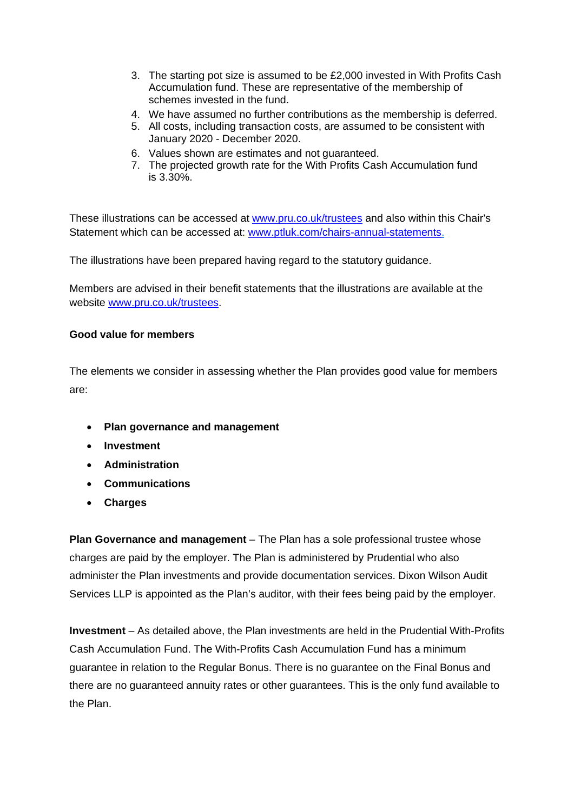- 3. The starting pot size is assumed to be £2,000 invested in With Profits Cash Accumulation fund. These are representative of the membership of schemes invested in the fund.
- 4. We have assumed no further contributions as the membership is deferred.
- 5. All costs, including transaction costs, are assumed to be consistent with January 2020 - December 2020.
- 6. Values shown are estimates and not guaranteed.
- 7. The projected growth rate for the With Profits Cash Accumulation fund is 3.30%.

These illustrations can be accessed at [www.pru.co.uk/trustees](http://www.pru.co.uk/trustees) and also within this Chair's Statement which can be accessed at: [www.ptluk.com/chairs-annual-statements.](http://www.ptluk.com/chairs-annual-statements)

The illustrations have been prepared having regard to the statutory guidance.

Members are advised in their benefit statements that the illustrations are available at the website [www.pru.co.uk/trustees.](http://www.pru.co.uk/trustees)

## **Good value for members**

The elements we consider in assessing whether the Plan provides good value for members are:

- **Plan governance and management**
- **Investment**
- **Administration**
- **Communications**
- **Charges**

**Plan Governance and management** – The Plan has a sole professional trustee whose charges are paid by the employer. The Plan is administered by Prudential who also administer the Plan investments and provide documentation services. Dixon Wilson Audit Services LLP is appointed as the Plan's auditor, with their fees being paid by the employer.

**Investment** – As detailed above, the Plan investments are held in the Prudential With-Profits Cash Accumulation Fund. The With-Profits Cash Accumulation Fund has a minimum guarantee in relation to the Regular Bonus. There is no guarantee on the Final Bonus and there are no guaranteed annuity rates or other guarantees. This is the only fund available to the Plan.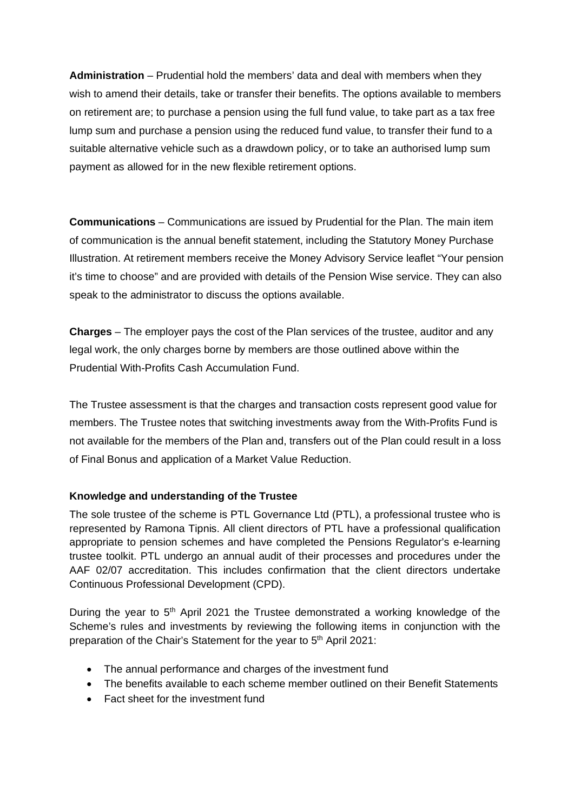**Administration** – Prudential hold the members' data and deal with members when they wish to amend their details, take or transfer their benefits. The options available to members on retirement are; to purchase a pension using the full fund value, to take part as a tax free lump sum and purchase a pension using the reduced fund value, to transfer their fund to a suitable alternative vehicle such as a drawdown policy, or to take an authorised lump sum payment as allowed for in the new flexible retirement options.

**Communications** – Communications are issued by Prudential for the Plan. The main item of communication is the annual benefit statement, including the Statutory Money Purchase Illustration. At retirement members receive the Money Advisory Service leaflet "Your pension it's time to choose" and are provided with details of the Pension Wise service. They can also speak to the administrator to discuss the options available.

**Charges** – The employer pays the cost of the Plan services of the trustee, auditor and any legal work, the only charges borne by members are those outlined above within the Prudential With-Profits Cash Accumulation Fund.

The Trustee assessment is that the charges and transaction costs represent good value for members. The Trustee notes that switching investments away from the With-Profits Fund is not available for the members of the Plan and, transfers out of the Plan could result in a loss of Final Bonus and application of a Market Value Reduction.

# **Knowledge and understanding of the Trustee**

The sole trustee of the scheme is PTL Governance Ltd (PTL), a professional trustee who is represented by Ramona Tipnis. All client directors of PTL have a professional qualification appropriate to pension schemes and have completed the Pensions Regulator's e-learning trustee toolkit. PTL undergo an annual audit of their processes and procedures under the AAF 02/07 accreditation. This includes confirmation that the client directors undertake Continuous Professional Development (CPD).

During the year to  $5<sup>th</sup>$  April 2021 the Trustee demonstrated a working knowledge of the Scheme's rules and investments by reviewing the following items in conjunction with the preparation of the Chair's Statement for the year to 5<sup>th</sup> April 2021:

- The annual performance and charges of the investment fund
- The benefits available to each scheme member outlined on their Benefit Statements
- Fact sheet for the investment fund